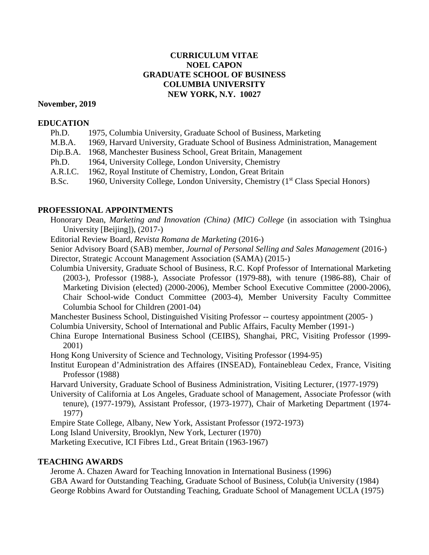# **CURRICULUM VITAE NOEL CAPON GRADUATE SCHOOL OF BUSINESS COLUMBIA UNIVERSITY NEW YORK, N.Y. 10027**

#### **November, 2019**

#### **EDUCATION**

| Ph.D.    | 1975, Columbia University, Graduate School of Business, Marketing                   |
|----------|-------------------------------------------------------------------------------------|
| M.B.A.   | 1969, Harvard University, Graduate School of Business Administration, Management    |
| Dip.B.A. | 1968, Manchester Business School, Great Britain, Management                         |
| Ph.D.    | 1964, University College, London University, Chemistry                              |
| A.R.I.C. | 1962, Royal Institute of Chemistry, London, Great Britain                           |
| B.Sc.    | 1960, University College, London University, Chemistry $(1st Class Special Honors)$ |

# **PROFESSIONAL APPOINTMENTS**

Honorary Dean, *Marketing and Innovation (China) (MIC) College* (in association with Tsinghua University [Beijing]), (2017-)

Editorial Review Board, *Revista Romana de Marketing* (2016-)

Senior Advisory Board (SAB) member, *Journal of Personal Selling and Sales Management* (2016-) Director, Strategic Account Management Association (SAMA) (2015-)

Columbia University, Graduate School of Business, R.C. Kopf Professor of International Marketing (2003-), Professor (1988-), Associate Professor (1979-88), with tenure (1986-88), Chair of Marketing Division (elected) (2000-2006), Member School Executive Committee (2000-2006), Chair School-wide Conduct Committee (2003-4), Member University Faculty Committee Columbia School for Children (2001-04)

Manchester Business School, Distinguished Visiting Professor -- courtesy appointment (2005- )

Columbia University, School of International and Public Affairs, Faculty Member (1991-)

- China Europe International Business School (CEIBS), Shanghai, PRC, Visiting Professor (1999- 2001)
- Hong Kong University of Science and Technology, Visiting Professor (1994-95)
- Institut European d'Administration des Affaires (INSEAD), Fontainebleau Cedex, France, Visiting Professor (1988)

Harvard University, Graduate School of Business Administration, Visiting Lecturer, (1977-1979)

University of California at Los Angeles, Graduate school of Management, Associate Professor (with tenure), (1977-1979), Assistant Professor, (1973-1977), Chair of Marketing Department (1974- 1977)

Empire State College, Albany, New York, Assistant Professor (1972-1973)

Long Island University, Brooklyn, New York, Lecturer (1970)

Marketing Executive, ICI Fibres Ltd., Great Britain (1963-1967)

## **TEACHING AWARDS**

Jerome A. Chazen Award for Teaching Innovation in International Business (1996) GBA Award for Outstanding Teaching, Graduate School of Business, Colub(ia University (1984) George Robbins Award for Outstanding Teaching, Graduate School of Management UCLA (1975)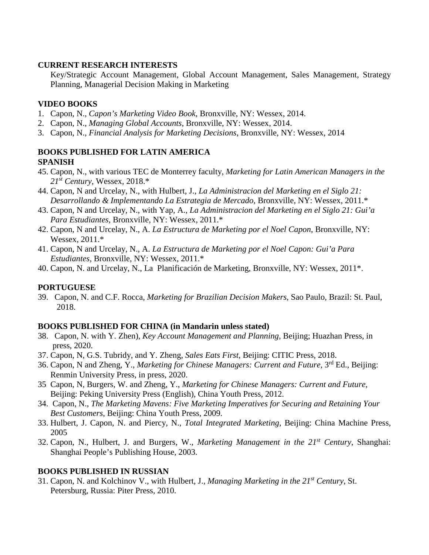## **CURRENT RESEARCH INTERESTS**

Key/Strategic Account Management, Global Account Management, Sales Management, Strategy Planning, Managerial Decision Making in Marketing

# **VIDEO BOOKS**

- 1. Capon, N., *Capon's Marketing Video Book*, Bronxville, NY: Wessex, 2014.
- 2. Capon, N., *Managing Global Accounts*, Bronxville, NY: Wessex, 2014.
- 3. Capon, N., *Financial Analysis for Marketing Decisions*, Bronxville, NY: Wessex, 2014

#### **BOOKS PUBLISHED FOR LATIN AMERICA SPANISH**

- 45. Capon, N., with various TEC de Monterrey faculty, *Marketing for Latin American Managers in the 21st Century*, Wessex, 2018.\*
- 44. Capon, N and Urcelay, N., with Hulbert, J., *La Administracion del Marketing en el Siglo 21: Desarrollando & Implementando La Estrategia de Mercado,* Bronxville, NY: Wessex, 2011.\*
- 43. Capon, N and Urcelay, N., with Yap, A., *La Administracion del Marketing en el Siglo 21: Gui'a Para Estudiantes,* Bronxville, NY: Wessex, 2011.\*
- 42. Capon, N and Urcelay, N., A. *La Estructura de Marketing por el Noel Capon,* Bronxville, NY: Wessex, 2011.\*
- 41. Capon, N and Urcelay, N., A. *La Estructura de Marketing por el Noel Capon: Gui'a Para Estudiantes,* Bronxville, NY: Wessex, 2011.\*
- 40. Capon, N. and Urcelay, N., La Planificación de Marketing, Bronxville, NY: Wessex, 2011\*.

# **PORTUGUESE**

39. Capon, N. and C.F. Rocca, *Marketing for Brazilian Decision Makers*, Sao Paulo, Brazil: St. Paul, 2018.

# **BOOKS PUBLISHED FOR CHINA (in Mandarin unless stated)**

- 38. Capon, N. with Y. Zhen), *Key Account Management and Planning*, Beijing; Huazhan Press, in press, 2020.
- 37. Capon, N, G.S. Tubridy, and Y. Zheng, *Sales Eats First*, Beijing: CITIC Press, 2018.
- 36. Capon, N and Zheng, Y., *Marketing for Chinese Managers: Current and Future,* 3rd Ed., Beijing: Renmin University Press, in press, 2020.
- 35 Capon, N, Burgers, W. and Zheng, Y., *Marketing for Chinese Managers: Current and Future,* Beijing: Peking University Press (English), China Youth Press, 2012.
- 34. Capon, N., *The Marketing Mavens: Five Marketing Imperatives for Securing and Retaining Your Best Customers*, Beijing: China Youth Press, 2009.
- 33. Hulbert, J. Capon, N. and Piercy, N., *Total Integrated Marketing*, Beijing: China Machine Press, 2005
- 32. Capon, N., Hulbert, J. and Burgers, W., *Marketing Management in the 21st Century*, Shanghai: Shanghai People's Publishing House, 2003.

# **BOOKS PUBLISHED IN RUSSIAN**

31. Capon, N. and Kolchinov V., with Hulbert, J., *Managing Marketing in the 21st Century*, St. Petersburg, Russia: Piter Press, 2010.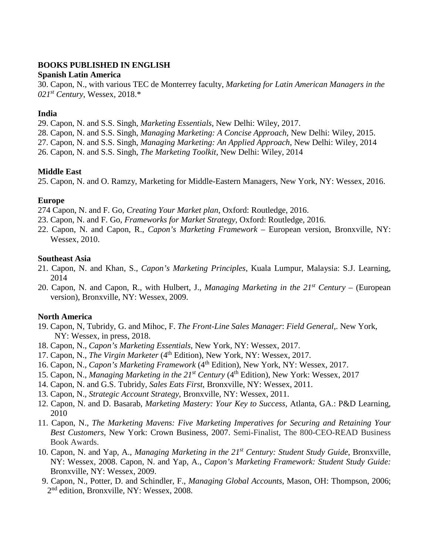## **BOOKS PUBLISHED IN ENGLISH**

#### **Spanish Latin America**

30. Capon, N., with various TEC de Monterrey faculty, *Marketing for Latin American Managers in the 021st Century*, Wessex, 2018.\*

## **India**

29. Capon, N. and S.S. Singh, *Marketing Essentials*, New Delhi: Wiley, 2017.

28. Capon, N. and S.S. Singh, *Managing Marketing: A Concise Approach*, New Delhi: Wiley, 2015.

27. Capon, N. and S.S. Singh, *Managing Marketing: An Applied Approach*, New Delhi: Wiley, 2014

26. Capon, N. and S.S. Singh, *The Marketing Toolkit*, New Delhi: Wiley, 2014

## **Middle East**

25. Capon, N. and O. Ramzy, Marketing for Middle-Eastern Managers, New York, NY: Wessex, 2016.

# **Europe**

274 Capon, N. and F. Go, *Creating Your Market plan*, Oxford: Routledge, 2016.

- 23. Capon, N. and F. Go, *Frameworks for Market Strategy*, Oxford: Routledge, 2016.
- 22. Capon, N. and Capon, R., *Capon's Marketing Framework*  European version, Bronxville, NY: Wessex, 2010.

## **Southeast Asia**

- 21. Capon, N. and Khan, S., *Capon's Marketing Principles*, Kuala Lumpur, Malaysia: S.J. Learning, 2014
- 20. Capon, N. and Capon, R., with Hulbert, J., *Managing Marketing in the 21st Century* (European version), Bronxville, NY: Wessex, 2009.

## **North America**

- 19. Capon, N, Tubridy, G. and Mihoc, F. *The Front-Line Sales Manager*: *Field General*,. New York, NY: Wessex, in press, 2018.
- 18. Capon, N., *Capon's Marketing Essentials*, New York, NY: Wessex, 2017.
- 17. Capon, N., *The Virgin Marketer* (4<sup>th</sup> Edition), New York, NY: Wessex, 2017.
- 16. Capon, N., *Capon's Marketing Framework* (4<sup>th</sup> Edition), New York, NY: Wessex, 2017.
- 15. Capon, N., *Managing Marketing in the 21st Century* (4th Edition), New York: Wessex, 2017
- 14. Capon, N. and G.S. Tubridy, *Sales Eats First*, Bronxville, NY: Wessex, 2011.
- 13. Capon, N., *Strategic Account Strategy*, Bronxville, NY: Wessex, 2011.
- 12. Capon, N. and D. Basarab, *Marketing Mastery: Your Key to Success*, Atlanta, GA.: P&D Learning, 2010
- 11. Capon, N., *The Marketing Mavens: Five Marketing Imperatives for Securing and Retaining Your Best Customers*, New York: Crown Business, 2007. Semi-Finalist, The 800-CEO-READ Business Book Awards.
- 10. Capon, N. and Yap, A., *Managing Marketing in the 21st Century: Student Study Guide*, Bronxville, NY: Wessex, 2008. Capon, N. and Yap, A., *Capon's Marketing Framework: Student Study Guide:* Bronxville, NY: Wessex, 2009.
- 9. Capon, N., Potter, D. and Schindler, F., *Managing Global Accounts*, Mason, OH: Thompson, 2006; 2<sup>nd</sup> edition, Bronxville, NY: Wessex, 2008.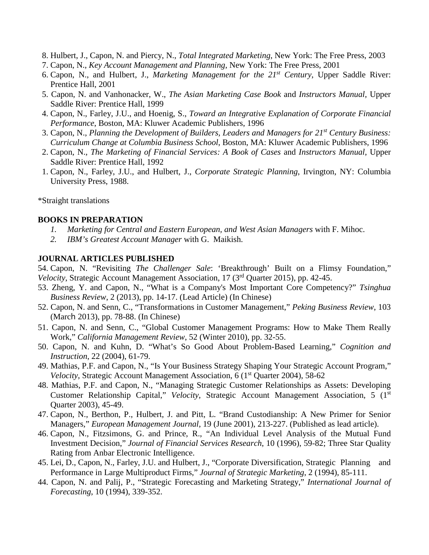- 8. Hulbert, J., Capon, N. and Piercy, N., *Total Integrated Marketing*, New York: The Free Press, 2003
- 7. Capon, N., *Key Account Management and Planning*, New York: The Free Press, 2001
- 6. Capon, N., and Hulbert, J., *Marketing Management for the 21st Century*, Upper Saddle River: Prentice Hall, 2001
- 5. Capon, N. and Vanhonacker, W., *The Asian Marketing Case Book* and *Instructors Manual*, Upper Saddle River: Prentice Hall, 1999
- 4. Capon, N., Farley, J.U., and Hoenig, S., *Toward an Integrative Explanation of Corporate Financial Performance*, Boston, MA: Kluwer Academic Publishers, 1996
- 3. Capon, N., *Planning the Development of Builders, Leaders and Managers for 21st Century Business: Curriculum Change at Columbia Business School*, Boston, MA: Kluwer Academic Publishers, 1996
- 2. Capon, N., *The Marketing of Financial Services: A Book of Cases* and *Instructors Manual*, Upper Saddle River: Prentice Hall, 1992
- 1. Capon, N., Farley, J.U., and Hulbert, J., *Corporate Strategic Planning*, Irvington, NY: Columbia University Press, 1988.

\*Straight translations

#### **BOOKS IN PREPARATION**

- *1. Marketing for Central and Eastern European, and West Asian Managers* with F. Mihoc.
- *2. IBM's Greatest Account Manager* with G. Maikish.

# **JOURNAL ARTICLES PUBLISHED**

54. Capon, N. "Revisiting *The Challenger Sale*: 'Breakthrough' Built on a Flimsy Foundation," *Velocity*, Strategic Account Management Association, 17 (3<sup>rd</sup> Quarter 2015), pp. 42-45.

- 53. Zheng, Y. and Capon, N., "What is a Company's Most Important Core Competency?" *Tsinghua Business Review*, 2 (2013), pp. 14-17. (Lead Article) (In Chinese)
- 52. Capon, N. and Senn, C., "Transformations in Customer Management," *Peking Business Review*, 103 (March 2013), pp. 78-88. (In Chinese)
- 51. Capon, N. and Senn, C., "Global Customer Management Programs: How to Make Them Really Work," *California Management Review*, 52 (Winter 2010), pp. 32-55.
- 50. Capon, N. and Kuhn, D. "What's So Good About Problem-Based Learning," *Cognition and Instruction*, 22 (2004), 61-79.
- 49. Mathias, P.F. and Capon, N., "Is Your Business Strategy Shaping Your Strategic Account Program," *Velocity*, Strategic Account Management Association, 6 (1<sup>st</sup> Quarter 2004), 58-62
- 48. Mathias, P.F. and Capon, N., "Managing Strategic Customer Relationships as Assets: Developing Customer Relationship Capital," *Velocity*, Strategic Account Management Association, 5 (1st Quarter 2003), 45-49.
- 47. Capon, N., Berthon, P., Hulbert, J. and Pitt, L. "Brand Custodianship: A New Primer for Senior Managers," *European Management Journal*, 19 (June 2001), 213-227. (Published as lead article).
- 46. Capon, N., Fitzsimons, G. and Prince, R., "An Individual Level Analysis of the Mutual Fund Investment Decision," *Journal of Financial Services Research*, 10 (1996), 59-82; Three Star Quality Rating from Anbar Electronic Intelligence.
- 45. Lei, D., Capon, N., Farley, J.U. and Hulbert, J., "Corporate Diversification, Strategic Planning and Performance in Large Multiproduct Firms," *Journal of Strategic Marketing*, 2 (1994), 85-111.
- 44. Capon, N. and Palij, P., "Strategic Forecasting and Marketing Strategy," *International Journal of Forecasting*, 10 (1994), 339-352.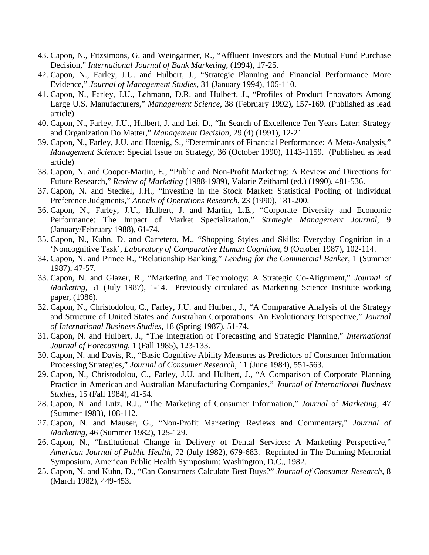- 43. Capon, N., Fitzsimons, G. and Weingartner, R., "Affluent Investors and the Mutual Fund Purchase Decision," *International Journal of Bank Marketing,* (1994), 17-25.
- 42. Capon, N., Farley, J.U. and Hulbert, J., "Strategic Planning and Financial Performance More Evidence," *Journal of Management Studies,* 31 (January 1994), 105-110.
- 41. Capon, N., Farley, J.U., Lehmann, D.R. and Hulbert, J., "Profiles of Product Innovators Among Large U.S. Manufacturers," *Management Science*, 38 (February 1992), 157-169. (Published as lead article)
- 40. Capon, N., Farley, J.U., Hulbert, J. and Lei, D., "In Search of Excellence Ten Years Later: Strategy and Organization Do Matter," *Management Decision*, 29 (4) (1991), 12-21.
- 39. Capon, N., Farley, J.U. and Hoenig, S., "Determinants of Financial Performance: A Meta-Analysis," *Management Science*: Special Issue on Strategy, 36 (October 1990), 1143-1159. (Published as lead article)
- 38. Capon, N. and Cooper-Martin, E., "Public and Non-Profit Marketing: A Review and Directions for Future Research," *Review of Marketing* (1988-1989), Valarie Zeithaml (ed.) (1990), 481-536.
- 37. Capon, N. and Steckel, J.H., "Investing in the Stock Market: Statistical Pooling of Individual Preference Judgments," *Annals of Operations Research*, 23 (1990), 181-200.
- 36. Capon, N., Farley, J.U., Hulbert, J. and Martin, L.E., "Corporate Diversity and Economic Performance: The Impact of Market Specialization," *Strategic Management Journal*, 9 (January/February 1988), 61-74.
- 35. Capon, N., Kuhn, D. and Carretero, M., "Shopping Styles and Skills: Everyday Cognition in a 'Noncognitive Task', *Laboratory of Comparative Human Cognition*, 9 (October 1987), 102-114.
- 34. Capon, N. and Prince R., "Relationship Banking," *Lending for the Commercial Banker*, 1 (Summer 1987), 47-57.
- 33. Capon, N. and Glazer, R., "Marketing and Technology: A Strategic Co-Alignment," *Journal of Marketing*, 51 (July 1987), 1-14. Previously circulated as Marketing Science Institute working paper, (1986).
- 32. Capon, N., Christodolou, C., Farley, J.U. and Hulbert, J., "A Comparative Analysis of the Strategy and Structure of United States and Australian Corporations: An Evolutionary Perspective," *Journal of International Business Studies*, 18 (Spring 1987), 51-74.
- 31. Capon, N. and Hulbert, J., "The Integration of Forecasting and Strategic Planning," *International Journal of Forecasting*, 1 (Fall 1985), 123-133.
- 30. Capon, N. and Davis, R., "Basic Cognitive Ability Measures as Predictors of Consumer Information Processing Strategies," *Journal of Consumer Research*, 11 (June 1984), 551-563.
- 29. Capon, N., Christodolou, C., Farley, J.U. and Hulbert, J., "A Comparison of Corporate Planning Practice in American and Australian Manufacturing Companies," *Journal of International Business Studies*, 15 (Fall 1984), 41-54.
- 28. Capon, N. and Lutz, R.J., "The Marketing of Consumer Information," *Journal* of *Marketing*, 47 (Summer 1983), 108-112.
- 27. Capon, N. and Mauser, G., "Non-Profit Marketing: Reviews and Commentary," *Journal of Marketing*, 46 (Summer 1982), 125-129.
- 26. Capon, N., "Institutional Change in Delivery of Dental Services: A Marketing Perspective," *American Journal of Public Health*, 72 (July 1982), 679-683. Reprinted in The Dunning Memorial Symposium, American Public Health Symposium: Washington, D.C., 1982.
- 25. Capon, N. and Kuhn, D., "Can Consumers Calculate Best Buys?" *Journal of Consumer Research*, 8 (March 1982), 449-453.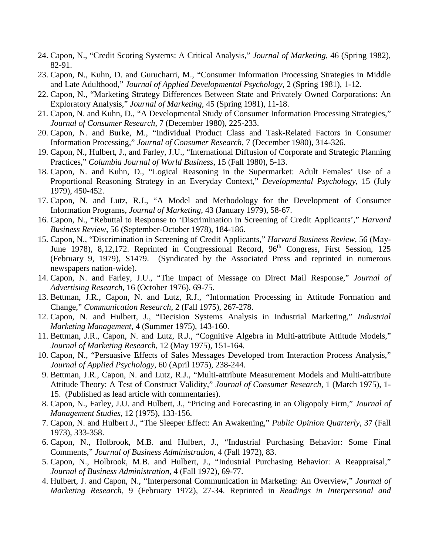- 24. Capon, N., "Credit Scoring Systems: A Critical Analysis," *Journal of Marketing*, 46 (Spring 1982), 82-91.
- 23. Capon, N., Kuhn, D. and Gurucharri, M., "Consumer Information Processing Strategies in Middle and Late Adulthood," *Journal of Applied Developmental Psychology*, 2 (Spring 1981), 1-12.
- 22. Capon, N., "Marketing Strategy Differences Between State and Privately Owned Corporations: An Exploratory Analysis," *Journal of Marketing*, 45 (Spring 1981), 11-18.
- 21. Capon, N. and Kuhn, D., "A Developmental Study of Consumer Information Processing Strategies," *Journal of Consumer Research*, 7 (December 1980), 225-233.
- 20. Capon, N. and Burke, M., "Individual Product Class and Task-Related Factors in Consumer Information Processing," *Journal of Consumer Research*, 7 (December 1980), 314-326.
- 19. Capon, N., Hulbert, J., and Farley, J.U., "International Diffusion of Corporate and Strategic Planning Practices," *Columbia Journal of World Business*, 15 (Fall 1980), 5-13.
- 18. Capon, N. and Kuhn, D., "Logical Reasoning in the Supermarket: Adult Females' Use of a Proportional Reasoning Strategy in an Everyday Context," *Developmental Psychology*, 15 (July 1979), 450-452.
- 17. Capon, N. and Lutz, R.J., "A Model and Methodology for the Development of Consumer Information Programs, *Journal of Marketing*, 43 (January 1979), 58-67.
- 16. Capon, N., "Rebuttal to Response to 'Discrimination in Screening of Credit Applicants'," *Harvard Business Review*, 56 (September-October 1978), 184-186.
- 15. Capon, N., "Discrimination in Screening of Credit Applicants," *Harvard Business Review*, 56 (May-June 1978), 8,12,172. Reprinted in Congressional Record, 96<sup>th</sup> Congress, First Session, 125 (February 9, 1979), S1479. (Syndicated by the Associated Press and reprinted in numerous newspapers nation-wide).
- 14. Capon, N. and Farley, J.U., "The Impact of Message on Direct Mail Response," *Journal of Advertising Research*, 16 (October 1976), 69-75.
- 13. Bettman, J.R., Capon, N. and Lutz, R.J., "Information Processing in Attitude Formation and Change," *Communication Research*, 2 (Fall 1975), 267-278.
- 12. Capon, N. and Hulbert, J., "Decision Systems Analysis in Industrial Marketing," *Industrial Marketing Management*, 4 (Summer 1975), 143-160.
- 11. Bettman, J.R., Capon, N. and Lutz, R.J., "Cognitive Algebra in Multi-attribute Attitude Models," *Journal of Marketing Research*, 12 (May 1975), 151-164.
- 10. Capon, N., "Persuasive Effects of Sales Messages Developed from Interaction Process Analysis," *Journal of Applied Psychology*, 60 (April 1975), 238-244.
- 9. Bettman, J.R., Capon, N. and Lutz, R.J., "Multi-attribute Measurement Models and Multi-attribute Attitude Theory: A Test of Construct Validity," *Journal of Consumer Research*, 1 (March 1975), 1- 15. (Published as lead article with commentaries).
- 8. Capon, N., Farley, J.U. and Hulbert, J., "Pricing and Forecasting in an Oligopoly Firm," *Journal of Management Studies*, 12 (1975), 133-156.
- 7. Capon, N. and Hulbert J., "The Sleeper Effect: An Awakening," *Public Opinion Quarterly*, 37 (Fall 1973), 333-358.
- 6. Capon, N., Holbrook, M.B. and Hulbert, J., "Industrial Purchasing Behavior: Some Final Comments," *Journal of Business Administration*, 4 (Fall 1972), 83.
- 5. Capon, N., Holbrook, M.B. and Hulbert, J., "Industrial Purchasing Behavior: A Reappraisal," *Journal of Business Administration*, 4 (Fall 1972), 69-77.
- 4. Hulbert, J. and Capon, N., "Interpersonal Communication in Marketing: An Overview," *Journal of Marketing Research*, 9 (February 1972), 27-34. Reprinted in *Readings in Interpersonal and*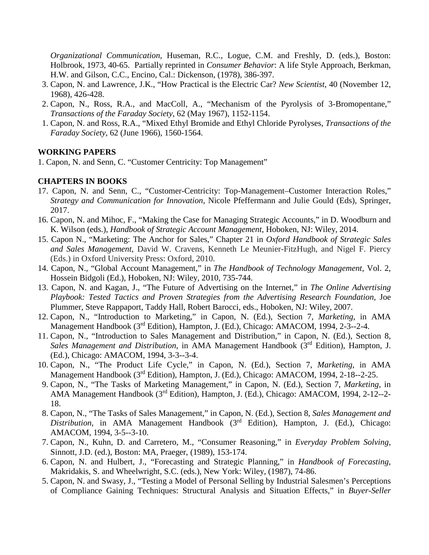*Organizational Communication*, Huseman, R.C., Logue, C.M. and Freshly, D. (eds.), Boston: Holbrook, 1973, 40-65. Partially reprinted in *Consumer Behavior*: A life Style Approach, Berkman, H.W. and Gilson, C.C., Encino, Cal.: Dickenson, (1978), 386-397.

- 3. Capon, N. and Lawrence, J.K., "How Practical is the Electric Car? *New Scientist*, 40 (November 12, 1968), 426-428.
- 2. Capon, N., Ross, R.A., and MacColl, A., "Mechanism of the Pyrolysis of 3-Bromopentane," *Transactions of the Faraday Society*, 62 (May 1967), 1152-1154.
- 1. Capon, N. and Ross, R.A., "Mixed Ethyl Bromide and Ethyl Chloride Pyrolyses, *Transactions of the Faraday Society*, 62 (June 1966), 1560-1564.

## **WORKING PAPERS**

1. Capon, N. and Senn, C. "Customer Centricity: Top Management"

# **CHAPTERS IN BOOKS**

- 17. Capon, N. and Senn, C., "Customer-Centricity: Top-Management–Customer Interaction Roles," *Strategy and Communication for Innovation*, Nicole Pfeffermann and Julie Gould (Eds), Springer, 2017.
- 16. Capon, N. and Mihoc, F., "Making the Case for Managing Strategic Accounts," in D. Woodburn and K. Wilson (eds.), *Handbook of Strategic Account Management*, Hoboken, NJ: Wiley, 2014.
- 15. Capon N., "Marketing: The Anchor for Sales," Chapter 21 in *Oxford Handbook of Strategic Sales and Sales Management*, David W. Cravens, Kenneth Le Meunier-FitzHugh, and Nigel F. Piercy (Eds.) in Oxford University Press: Oxford, 2010.
- 14. Capon, N., "Global Account Management," in *The Handbook of Technology Management*, Vol. 2, Hossein Bidgoli (Ed.), Hoboken, NJ: Wiley, 2010, 735-744.
- 13. Capon, N. and Kagan, J., "The Future of Advertising on the Internet," in *The Online Advertising Playbook: Tested Tactics and Proven Strategies from the Advertising Research Foundation*, Joe Plummer, Steve Rappaport, Taddy Hall, Robert Barocci, eds., Hoboken, NJ: Wiley, 2007.
- 12. Capon, N., "Introduction to Marketing," in Capon, N. (Ed.), Section 7, *Marketing*, in AMA Management Handbook (3<sup>rd</sup> Edition), Hampton, J. (Ed.), Chicago: AMACOM, 1994, 2-3--2-4.
- 11. Capon, N., "Introduction to Sales Management and Distribution," in Capon, N. (Ed.), Section 8, *Sales Management and Distribution*, in AMA Management Handbook (3rd Edition), Hampton, J. (Ed.), Chicago: AMACOM, 1994, 3-3--3-4.
- 10. Capon, N., "The Product Life Cycle," in Capon, N. (Ed.), Section 7, *Marketing*, in AMA Management Handbook (3<sup>rd</sup> Edition), Hampton, J. (Ed.), Chicago: AMACOM, 1994, 2-18--2-25.
- 9. Capon, N., "The Tasks of Marketing Management," in Capon, N. (Ed.), Section 7, *Marketing*, in AMA Management Handbook (3rd Edition), Hampton, J. (Ed.), Chicago: AMACOM, 1994, 2-12--2- 18.
- 8. Capon, N., "The Tasks of Sales Management," in Capon, N. (Ed.), Section 8, *Sales Management and Distribution*, in AMA Management Handbook (3rd Edition), Hampton, J. (Ed.), Chicago: AMACOM, 1994, 3-5--3-10.
- 7. Capon, N., Kuhn, D. and Carretero, M., "Consumer Reasoning," in *Everyday Problem Solving*, Sinnott, J.D. (ed.), Boston: MA, Praeger, (1989), 153-174.
- 6. Capon, N. and Hulbert, J., "Forecasting and Strategic Planning," in *Handbook of Forecasting*, Makridakis, S. and Wheelwright, S.C. (eds.), New York: Wiley, (1987), 74-86.
- 5. Capon, N. and Swasy, J., "Testing a Model of Personal Selling by Industrial Salesmen's Perceptions of Compliance Gaining Techniques: Structural Analysis and Situation Effects," in *Buyer-Seller*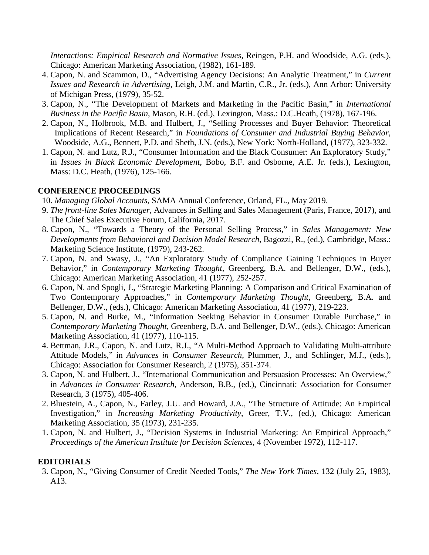*Interactions: Empirical Research and Normative Issues*, Reingen, P.H. and Woodside, A.G. (eds.), Chicago: American Marketing Association, (1982), 161-189.

- 4. Capon, N. and Scammon, D., "Advertising Agency Decisions: An Analytic Treatment," in *Current Issues and Research in Advertising*, Leigh, J.M. and Martin, C.R., Jr. (eds.), Ann Arbor: University of Michigan Press, (1979), 35-52.
- 3. Capon, N., "The Development of Markets and Marketing in the Pacific Basin," in *International Business in the Pacific Basin*, Mason, R.H. (ed.), Lexington, Mass.: D.C.Heath, (1978), 167-196.
- 2. Capon, N., Holbrook, M.B. and Hulbert, J., "Selling Processes and Buyer Behavior: Theoretical Implications of Recent Research," in *Foundations of Consumer and Industrial Buying Behavior*, Woodside, A.G., Bennett, P.D. and Sheth, J.N. (eds.), New York: North-Holland, (1977), 323-332.
- 1. Capon, N. and Lutz, R.J., "Consumer Information and the Black Consumer: An Exploratory Study," in *Issues in Black Economic Development*, Bobo, B.F. and Osborne, A.E. Jr. (eds.), Lexington, Mass: D.C. Heath, (1976), 125-166.

## **CONFERENCE PROCEEDINGS**

10. *Managing Global Accounts*, SAMA Annual Conference, Orland, FL., May 2019.

- 9. *The front-line Sales Manager*, Advances in Selling and Sales Management (Paris, France, 2017), and The Chief Sales Executive Forum, California, 2017.
- 8. Capon, N., "Towards a Theory of the Personal Selling Process," in *Sales Management: New Developments from Behavioral and Decision Model Research*, Bagozzi, R., (ed.), Cambridge, Mass.: Marketing Science Institute, (1979), 243-262.
- 7. Capon, N. and Swasy, J., "An Exploratory Study of Compliance Gaining Techniques in Buyer Behavior," in *Contemporary Marketing Thought*, Greenberg, B.A. and Bellenger, D.W., (eds.), Chicago: American Marketing Association, 41 (1977), 252-257.
- 6. Capon, N. and Spogli, J., "Strategic Marketing Planning: A Comparison and Critical Examination of Two Contemporary Approaches," in *Contemporary Marketing Thought*, Greenberg, B.A. and Bellenger, D.W., (eds.), Chicago: American Marketing Association, 41 (1977), 219-223.
- 5. Capon, N. and Burke, M., "Information Seeking Behavior in Consumer Durable Purchase," in *Contemporary Marketing Thought*, Greenberg, B.A. and Bellenger, D.W., (eds.), Chicago: American Marketing Association, 41 (1977), 110-115.
- 4. Bettman, J.R., Capon, N. and Lutz, R.J., "A Multi-Method Approach to Validating Multi-attribute Attitude Models," in *Advances in Consumer Research*, Plummer, J., and Schlinger, M.J., (eds.), Chicago: Association for Consumer Research, 2 (1975), 351-374.
- 3. Capon, N. and Hulbert, J., "International Communication and Persuasion Processes: An Overview," in *Advances in Consumer Research*, Anderson, B.B., (ed.), Cincinnati: Association for Consumer Research, 3 (1975), 405-406.
- 2. Bluestein, A., Capon, N., Farley, J.U. and Howard, J.A., "The Structure of Attitude: An Empirical Investigation," in *Increasing Marketing Productivity*, Greer, T.V., (ed.), Chicago: American Marketing Association, 35 (1973), 231-235.
- 1. Capon, N. and Hulbert, J., "Decision Systems in Industrial Marketing: An Empirical Approach," *Proceedings of the American Institute for Decision Sciences*, 4 (November 1972), 112-117.

#### **EDITORIALS**

3. Capon, N., "Giving Consumer of Credit Needed Tools," *The New York Times*, 132 (July 25, 1983), A13.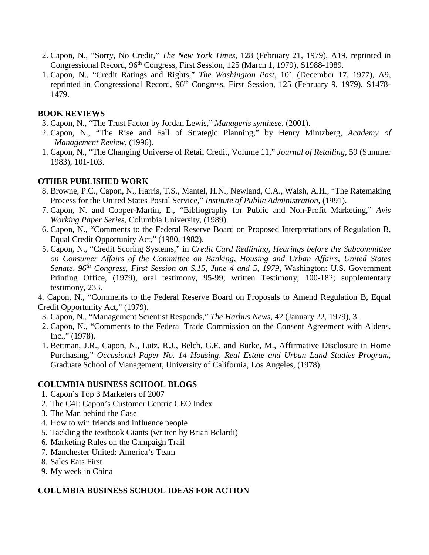- 2. Capon, N., "Sorry, No Credit," *The New York Times*, 128 (February 21, 1979), A19, reprinted in Congressional Record, 96<sup>th</sup> Congress, First Session, 125 (March 1, 1979), S1988-1989.
- 1. Capon, N., "Credit Ratings and Rights," *The Washington Post*, 101 (December 17, 1977), A9, reprinted in Congressional Record, 96<sup>th</sup> Congress, First Session, 125 (February 9, 1979), S1478-1479.

# **BOOK REVIEWS**

- 3. Capon, N., "The Trust Factor by Jordan Lewis," *Manageris synthese*, (2001).
- 2. Capon, N., "The Rise and Fall of Strategic Planning," by Henry Mintzberg, *Academy of Management Review*, (1996).
- 1. Capon, N., "The Changing Universe of Retail Credit, Volume 11," *Journal of Retailing*, 59 (Summer 1983), 101-103.

# **OTHER PUBLISHED WORK**

- 8. Browne, P.C., Capon, N., Harris, T.S., Mantel, H.N., Newland, C.A., Walsh, A.H., "The Ratemaking Process for the United States Postal Service," *Institute of Public Administration*, (1991).
- 7. Capon, N. and Cooper-Martin, E., "Bibliography for Public and Non-Profit Marketing," *Avis Working Paper Series*, Columbia University, (1989).
- 6. Capon, N., "Comments to the Federal Reserve Board on Proposed Interpretations of Regulation B, Equal Credit Opportunity Act," (1980, 1982).
- 5. Capon, N., "Credit Scoring Systems," in *Credit Card Redlining, Hearings before the Subcommittee on Consumer Affairs of the Committee on Banking, Housing and Urban Affairs, United States Senate, 96th Congress, First Session on S.15, June 4 and 5, 1979*, Washington: U.S. Government Printing Office, (1979), oral testimony, 95-99; written Testimony, 100-182; supplementary testimony, 233.
- 4. Capon, N., "Comments to the Federal Reserve Board on Proposals to Amend Regulation B, Equal Credit Opportunity Act," (1979).
- 3. Capon, N., "Management Scientist Responds," *The Harbus News*, 42 (January 22, 1979), 3.
- 2. Capon, N., "Comments to the Federal Trade Commission on the Consent Agreement with Aldens, Inc.," (1978).
- 1. Bettman, J.R., Capon, N., Lutz, R.J., Belch, G.E. and Burke, M., Affirmative Disclosure in Home Purchasing," *Occasional Paper No. 14 Housing, Real Estate and Urban Land Studies Program*, Graduate School of Management, University of California, Los Angeles, (1978).

## **COLUMBIA BUSINESS SCHOOL BLOGS**

- 1. Capon's Top 3 Marketers of 2007
- 2. The C4I: Capon's Customer Centric CEO Index
- 3. The Man behind the Case
- 4. How to win friends and influence people
- 5. Tackling the textbook Giants (written by Brian Belardi)
- 6. Marketing Rules on the Campaign Trail
- 7. Manchester United: America's Team
- 8. Sales Eats First
- 9. My week in China

## **COLUMBIA BUSINESS SCHOOL IDEAS FOR ACTION**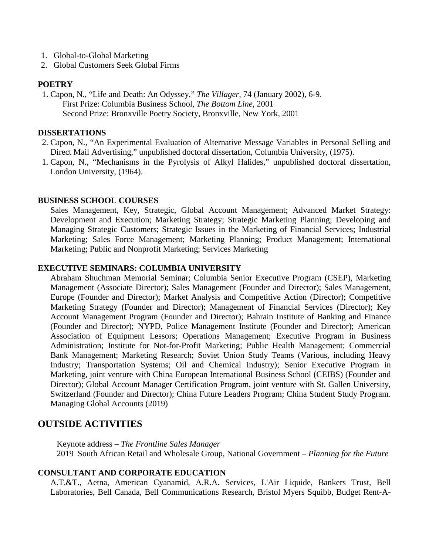- 1. Global-to-Global Marketing
- 2. Global Customers Seek Global Firms

#### **POETRY**

1. Capon, N., "Life and Death: An Odyssey," *The Villager*, 74 (January 2002), 6-9. First Prize: Columbia Business School, *The Bottom Line*, 2001 Second Prize: Bronxville Poetry Society, Bronxville, New York, 2001

#### **DISSERTATIONS**

- 2. Capon, N., "An Experimental Evaluation of Alternative Message Variables in Personal Selling and Direct Mail Advertising," unpublished doctoral dissertation, Columbia University, (1975).
- 1. Capon, N., "Mechanisms in the Pyrolysis of Alkyl Halides," unpublished doctoral dissertation, London University, (1964).

#### **BUSINESS SCHOOL COURSES**

Sales Management, Key, Strategic, Global Account Management; Advanced Market Strategy: Development and Execution; Marketing Strategy; Strategic Marketing Planning; Developing and Managing Strategic Customers; Strategic Issues in the Marketing of Financial Services; Industrial Marketing; Sales Force Management; Marketing Planning; Product Management; International Marketing; Public and Nonprofit Marketing; Services Marketing

#### **EXECUTIVE SEMINARS: COLUMBIA UNIVERSITY**

Abraham Shuchman Memorial Seminar; Columbia Senior Executive Program (CSEP), Marketing Management (Associate Director); Sales Management (Founder and Director); Sales Management, Europe (Founder and Director); Market Analysis and Competitive Action (Director); Competitive Marketing Strategy (Founder and Director); Management of Financial Services (Director); Key Account Management Program (Founder and Director); Bahrain Institute of Banking and Finance (Founder and Director); NYPD, Police Management Institute (Founder and Director); American Association of Equipment Lessors; Operations Management; Executive Program in Business Administration; Institute for Not-for-Profit Marketing; Public Health Management; Commercial Bank Management; Marketing Research; Soviet Union Study Teams (Various, including Heavy Industry; Transportation Systems; Oil and Chemical Industry); Senior Executive Program in Marketing, joint venture with China European International Business School (CEIBS) (Founder and Director); Global Account Manager Certification Program, joint venture with St. Gallen University, Switzerland (Founder and Director); China Future Leaders Program; China Student Study Program. Managing Global Accounts (2019)

## **OUTSIDE ACTIVITIES**

Keynote address – *The Frontline Sales Manager* 2019 South African Retail and Wholesale Group, National Government – *Planning for the Future*

#### **CONSULTANT AND CORPORATE EDUCATION**

A.T.&T., Aetna, American Cyanamid, A.R.A. Services, L'Air Liquide, Bankers Trust, Bell Laboratories, Bell Canada, Bell Communications Research, Bristol Myers Squibb, Budget Rent-A-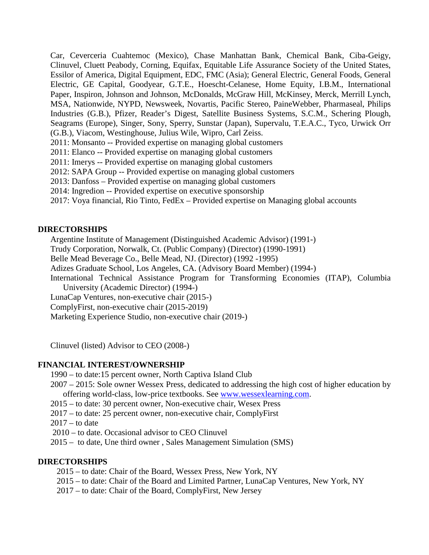Car, Ceverceria Cuahtemoc (Mexico), Chase Manhattan Bank, Chemical Bank, Ciba-Geigy, Clinuvel, Cluett Peabody, Corning, Equifax, Equitable Life Assurance Society of the United States, Essilor of America, Digital Equipment, EDC, FMC (Asia); General Electric, General Foods, General Electric, GE Capital, Goodyear, G.T.E., Hoescht-Celanese, Home Equity, I.B.M., International Paper, Inspiron, Johnson and Johnson, McDonalds, McGraw Hill, McKinsey, Merck, Merrill Lynch, MSA, Nationwide, NYPD, Newsweek, Novartis, Pacific Stereo, PaineWebber, Pharmaseal, Philips Industries (G.B.), Pfizer, Reader's Digest, Satellite Business Systems, S.C.M., Schering Plough, Seagrams (Europe), Singer, Sony, Sperry, Sunstar (Japan), Supervalu, T.E.A.C., Tyco, Urwick Orr (G.B.), Viacom, Westinghouse, Julius Wile, Wipro, Carl Zeiss.

2011: Monsanto -- Provided expertise on managing global customers

2011: Elanco -- Provided expertise on managing global customers

2011: Imerys -- Provided expertise on managing global customers

2012: SAPA Group -- Provided expertise on managing global customers

2013: Danfoss – Provided expertise on managing global customers

2014: Ingredion -- Provided expertise on executive sponsorship

2017: Voya financial, Rio Tinto, FedEx – Provided expertise on Managing global accounts

#### **DIRECTORSHIPS**

Argentine Institute of Management (Distinguished Academic Advisor) (1991-)

Trudy Corporation, Norwalk, Ct. (Public Company) (Director) (1990-1991)

Belle Mead Beverage Co., Belle Mead, NJ. (Director) (1992 -1995)

Adizes Graduate School, Los Angeles, CA. (Advisory Board Member) (1994-)

International Technical Assistance Program for Transforming Economies (ITAP), Columbia University (Academic Director) (1994-)

LunaCap Ventures, non-executive chair (2015-)

ComplyFirst, non-executive chair (2015-2019)

Marketing Experience Studio, non-executive chair (2019-)

Clinuvel (listed) Advisor to CEO (2008-)

#### **FINANCIAL INTEREST/OWNERSHIP**

1990 – to date:15 percent owner, North Captiva Island Club

2007 – 2015: Sole owner Wessex Press, dedicated to addressing the high cost of higher education by offering world-class, low-price textbooks. See [www.wessexlearning.com.](http://www.wessexlearning.com/)

2015 – to date: 30 percent owner, Non-executive chair, Wesex Press

2017 – to date: 25 percent owner, non-executive chair, ComplyFirst

 $2017 -$  to date

2010 – to date. Occasional advisor to CEO Clinuvel

2015 – to date, Une third owner , Sales Management Simulation (SMS)

#### **DIRECTORSHIPS**

2015 – to date: Chair of the Board, Wessex Press, New York, NY

2015 – to date: Chair of the Board and Limited Partner, LunaCap Ventures, New York, NY

2017 – to date: Chair of the Board, ComplyFirst, New Jersey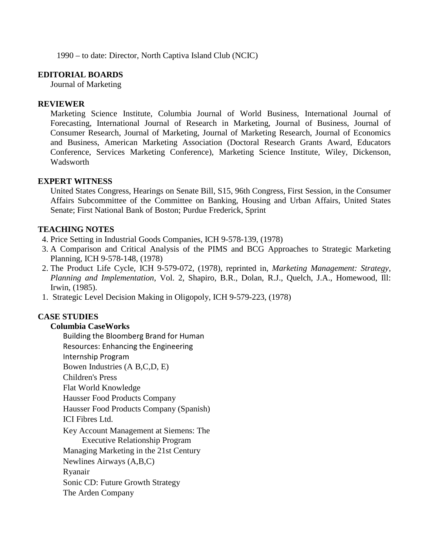1990 – to date: Director, North Captiva Island Club (NCIC)

# **EDITORIAL BOARDS**

Journal of Marketing

# **REVIEWER**

Marketing Science Institute, Columbia Journal of World Business, International Journal of Forecasting, International Journal of Research in Marketing, Journal of Business, Journal of Consumer Research, Journal of Marketing, Journal of Marketing Research, Journal of Economics and Business, American Marketing Association (Doctoral Research Grants Award, Educators Conference, Services Marketing Conference), Marketing Science Institute, Wiley, Dickenson, Wadsworth

# **EXPERT WITNESS**

United States Congress, Hearings on Senate Bill, S15, 96th Congress, First Session, in the Consumer Affairs Subcommittee of the Committee on Banking, Housing and Urban Affairs, United States Senate; First National Bank of Boston; Purdue Frederick, Sprint

# **TEACHING NOTES**

- 4. Price Setting in Industrial Goods Companies, ICH 9-578-139, (1978)
- 3. A Comparison and Critical Analysis of the PIMS and BCG Approaches to Strategic Marketing Planning, ICH 9-578-148, (1978)
- 2. The Product Life Cycle, ICH 9-579-072, (1978), reprinted in, *Marketing Management: Strategy, Planning and Implementation*, Vol. 2, Shapiro, B.R., Dolan, R.J., Quelch, J.A., Homewood, Ill: Irwin, (1985).
- 1. Strategic Level Decision Making in Oligopoly, ICH 9-579-223, (1978)

# **CASE STUDIES**

## **Columbia CaseWorks**

Building the Bloomberg Brand for Human Resources: Enhancing the Engineering Internship Program Bowen Industries (A B,C,D, E) Children's Press Flat World Knowledge Hausser Food Products Company Hausser Food Products Company (Spanish) ICI Fibres Ltd. Key Account Management at Siemens: The Executive Relationship Program Managing Marketing in the 21st Century Newlines Airways (A,B,C) Ryanair Sonic CD: Future Growth Strategy The Arden Company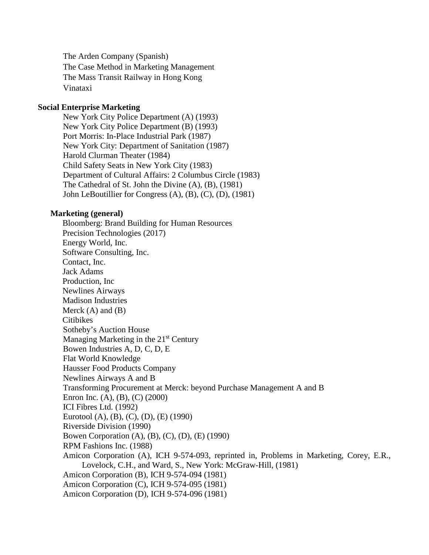The Arden Company (Spanish) The Case Method in Marketing Management The Mass Transit Railway in Hong Kong Vinataxi

#### **Social Enterprise Marketing**

 New York City Police Department (A) (1993) New York City Police Department (B) (1993) Port Morris: In-Place Industrial Park (1987) New York City: Department of Sanitation (1987) Harold Clurman Theater (1984) Child Safety Seats in New York City (1983) Department of Cultural Affairs: 2 Columbus Circle (1983) The Cathedral of St. John the Divine (A), (B), (1981) John LeBoutillier for Congress (A), (B), (C), (D), (1981)

#### **Marketing (general)**

Bloomberg: Brand Building for Human Resources Precision Technologies (2017) Energy World, Inc. Software Consulting, Inc. Contact, Inc. Jack Adams Production, Inc Newlines Airways Madison Industries Merck  $(A)$  and  $(B)$ Citibikes Sotheby's Auction House Managing Marketing in the  $21<sup>st</sup>$  Century Bowen Industries A, D, C, D, E Flat World Knowledge Hausser Food Products Company Newlines Airways A and B Transforming Procurement at Merck: beyond Purchase Management A and B Enron Inc. (A), (B), (C) (2000) ICI Fibres Ltd. (1992) Eurotool (A), (B), (C), (D), (E) (1990) Riverside Division (1990) Bowen Corporation (A), (B), (C), (D), (E) (1990) RPM Fashions Inc. (1988) Amicon Corporation (A), ICH 9-574-093, reprinted in, Problems in Marketing, Corey, E.R., Lovelock, C.H., and Ward, S., New York: McGraw-Hill, (1981) Amicon Corporation (B), ICH 9-574-094 (1981) Amicon Corporation (C), ICH 9-574-095 (1981) Amicon Corporation (D), ICH 9-574-096 (1981)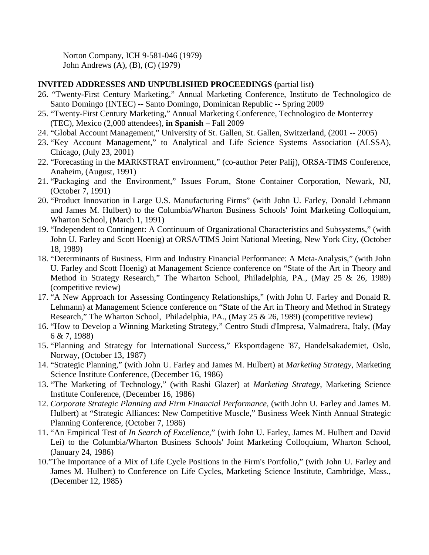Norton Company, ICH 9-581-046 (1979) John Andrews (A), (B), (C) (1979)

## **INVITED ADDRESSES AND UNPUBLISHED PROCEEDINGS (**partial list**)**

- 26. "Twenty-First Century Marketing," Annual Marketing Conference, Instituto de Technologico de Santo Domingo (INTEC) -- Santo Domingo, Dominican Republic -- Spring 2009
- 25. "Twenty-First Century Marketing," Annual Marketing Conference, Technologico de Monterrey (TEC), Mexico (2,000 attendees), **in Spanish –** Fall 2009
- 24. "Global Account Management," University of St. Gallen, St. Gallen, Switzerland, (2001 -- 2005)
- 23. "Key Account Management," to Analytical and Life Science Systems Association (ALSSA), Chicago, (July 23, 2001)
- 22. "Forecasting in the MARKSTRAT environment," (co-author Peter Palij), ORSA-TIMS Conference, Anaheim, (August, 1991)
- 21. "Packaging and the Environment," Issues Forum, Stone Container Corporation, Newark, NJ, (October 7, 1991)
- 20. "Product Innovation in Large U.S. Manufacturing Firms" (with John U. Farley, Donald Lehmann and James M. Hulbert) to the Columbia/Wharton Business Schools' Joint Marketing Colloquium, Wharton School, (March 1, 1991)
- 19. "Independent to Contingent: A Continuum of Organizational Characteristics and Subsystems," (with John U. Farley and Scott Hoenig) at ORSA/TIMS Joint National Meeting, New York City, (October 18, 1989)
- 18. "Determinants of Business, Firm and Industry Financial Performance: A Meta-Analysis," (with John U. Farley and Scott Hoenig) at Management Science conference on "State of the Art in Theory and Method in Strategy Research," The Wharton School, Philadelphia, PA., (May 25 & 26, 1989) (competitive review)
- 17. "A New Approach for Assessing Contingency Relationships," (with John U. Farley and Donald R. Lehmann) at Management Science conference on "State of the Art in Theory and Method in Strategy Research," The Wharton School, Philadelphia, PA., (May 25 & 26, 1989) (competitive review)
- 16. "How to Develop a Winning Marketing Strategy," Centro Studi d'Impresa, Valmadrera, Italy, (May 6 & 7, 1988)
- 15. "Planning and Strategy for International Success," Eksportdagene '87, Handelsakademiet, Oslo, Norway, (October 13, 1987)
- 14. "Strategic Planning," (with John U. Farley and James M. Hulbert) at *Marketing Strategy*, Marketing Science Institute Conference, (December 16, 1986)
- 13. "The Marketing of Technology," (with Rashi Glazer) at *Marketing Strategy*, Marketing Science Institute Conference, (December 16, 1986)
- 12. *Corporate Strategic Planning and Firm Financial Performance*, (with John U. Farley and James M. Hulbert) at "Strategic Alliances: New Competitive Muscle," Business Week Ninth Annual Strategic Planning Conference, (October 7, 1986)
- 11. "An Empirical Test of *In Search of Excellence*," (with John U. Farley, James M. Hulbert and David Lei) to the Columbia/Wharton Business Schools' Joint Marketing Colloquium, Wharton School, (January 24, 1986)
- 10."The Importance of a Mix of Life Cycle Positions in the Firm's Portfolio," (with John U. Farley and James M. Hulbert) to Conference on Life Cycles, Marketing Science Institute, Cambridge, Mass., (December 12, 1985)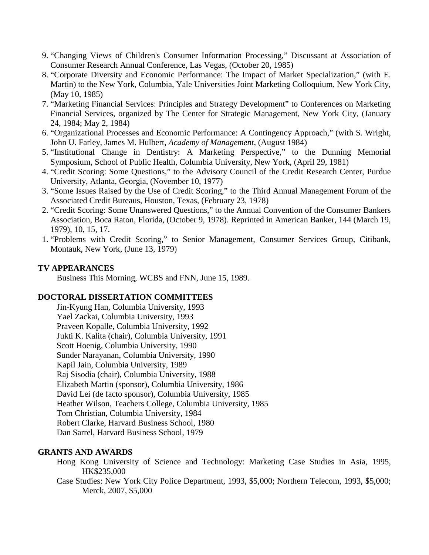- 9. "Changing Views of Children's Consumer Information Processing," Discussant at Association of Consumer Research Annual Conference, Las Vegas, (October 20, 1985)
- 8. "Corporate Diversity and Economic Performance: The Impact of Market Specialization," (with E. Martin) to the New York, Columbia, Yale Universities Joint Marketing Colloquium, New York City, (May 10, 1985)
- 7. "Marketing Financial Services: Principles and Strategy Development" to Conferences on Marketing Financial Services, organized by The Center for Strategic Management, New York City, (January 24, 1984; May 2, 1984)
- 6. "Organizational Processes and Economic Performance: A Contingency Approach," (with S. Wright, John U. Farley, James M. Hulbert, *Academy of Management*, (August 1984)
- 5. "Institutional Change in Dentistry: A Marketing Perspective," to the Dunning Memorial Symposium, School of Public Health, Columbia University, New York, (April 29, 1981)
- 4. "Credit Scoring: Some Questions," to the Advisory Council of the Credit Research Center, Purdue University, Atlanta, Georgia, (November 10, 1977)
- 3. "Some Issues Raised by the Use of Credit Scoring," to the Third Annual Management Forum of the Associated Credit Bureaus, Houston, Texas, (February 23, 1978)
- 2. "Credit Scoring: Some Unanswered Questions," to the Annual Convention of the Consumer Bankers Association, Boca Raton, Florida, (October 9, 1978). Reprinted in American Banker, 144 (March 19, 1979), 10, 15, 17.
- 1. "Problems with Credit Scoring," to Senior Management, Consumer Services Group, Citibank, Montauk, New York, (June 13, 1979)

# **TV APPEARANCES**

Business This Morning, WCBS and FNN, June 15, 1989.

## **DOCTORAL DISSERTATION COMMITTEES**

 Jin-Kyung Han, Columbia University, 1993 Yael Zackai, Columbia University, 1993 Praveen Kopalle, Columbia University, 1992 Jukti K. Kalita (chair), Columbia University, 1991 Scott Hoenig, Columbia University, 1990 Sunder Narayanan, Columbia University, 1990 Kapil Jain, Columbia University, 1989 Raj Sisodia (chair), Columbia University, 1988 Elizabeth Martin (sponsor), Columbia University, 1986 David Lei (de facto sponsor), Columbia University, 1985 Heather Wilson, Teachers College, Columbia University, 1985 Tom Christian, Columbia University, 1984 Robert Clarke, Harvard Business School, 1980 Dan Sarrel, Harvard Business School, 1979

## **GRANTS AND AWARDS**

- Hong Kong University of Science and Technology: Marketing Case Studies in Asia, 1995, HK\$235,000
- Case Studies: New York City Police Department, 1993, \$5,000; Northern Telecom, 1993, \$5,000; Merck, 2007, \$5,000